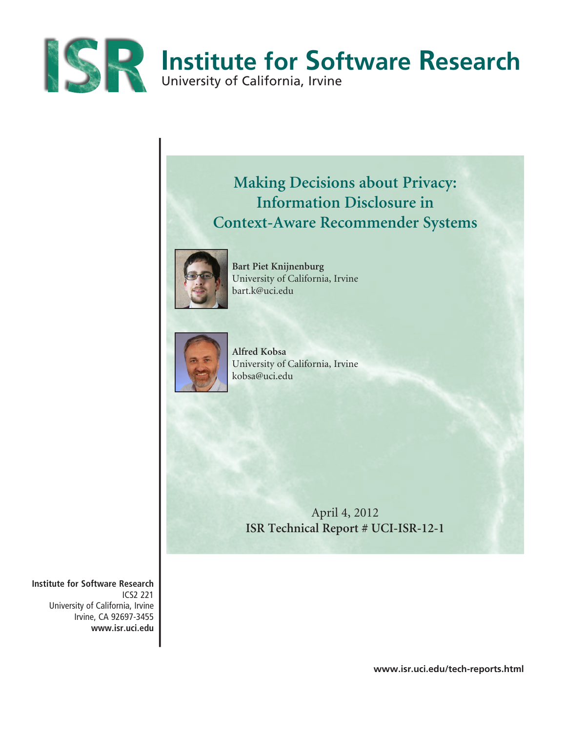

# **Making Decisions about Privacy: Information Disclosure in Context-Aware Recommender Systems**



**Bart Piet Knijnenburg**  University of California, Irvine bart.k@uci.edu



**Alfred Kobsa** University of California, Irvine kobsa@uci.edu

> April 4, 2012 **ISR Technical Report # UCI-ISR-12-1**

**Institute for Software Research** ICS2 221 University of California, Irvine Irvine, CA 92697-3455 **www.isr.uci.edu**

**www.isr.uci.edu/tech-reports.html**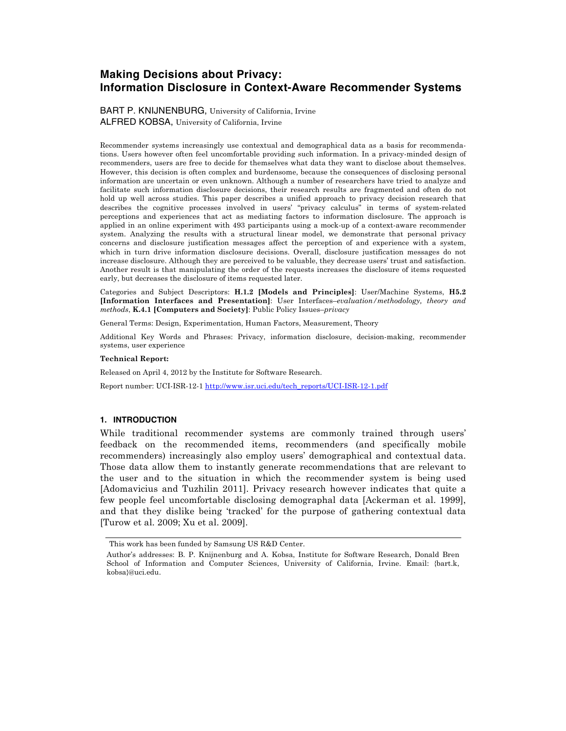# **Making Decisions about Privacy: Information Disclosure in Context-Aware Recommender Systems**

BART P. KNIJNENBURG, University of California, Irvine ALFRED KOBSA, University of California, Irvine

Recommender systems increasingly use contextual and demographical data as a basis for recommendations. Users however often feel uncomfortable providing such information. In a privacy-minded design of recommenders, users are free to decide for themselves what data they want to disclose about themselves. However, this decision is often complex and burdensome, because the consequences of disclosing personal information are uncertain or even unknown. Although a number of researchers have tried to analyze and facilitate such information disclosure decisions, their research results are fragmented and often do not hold up well across studies. This paper describes a unified approach to privacy decision research that describes the cognitive processes involved in users' "privacy calculus" in terms of system-related perceptions and experiences that act as mediating factors to information disclosure. The approach is applied in an online experiment with 493 participants using a mock-up of a context-aware recommender system. Analyzing the results with a structural linear model, we demonstrate that personal privacy concerns and disclosure justification messages affect the perception of and experience with a system, which in turn drive information disclosure decisions. Overall, disclosure justification messages do not increase disclosure. Although they are perceived to be valuable, they decrease users' trust and satisfaction. Another result is that manipulating the order of the requests increases the disclosure of items requested early, but decreases the disclosure of items requested later.

Categories and Subject Descriptors: **H.1.2 [Models and Principles]**: User/Machine Systems, **H5.2 [Information Interfaces and Presentation]**: User Interfaces–*evaluation/methodology, theory and methods*, **K.4.1 [Computers and Society]**: Public Policy Issues–*privacy*

General Terms: Design, Experimentation, Human Factors, Measurement, Theory

Additional Key Words and Phrases: Privacy, information disclosure, decision-making, recommender systems, user experience

#### **Technical Report:**

Released on April 4, 2012 by the Institute for Software Research.

Report number: UCI-ISR-12-1 http://www.isr.uci.edu/tech\_reports/UCI-ISR-12-1.pdf

#### **1. INTRODUCTION**

While traditional recommender systems are commonly trained through users' feedback on the recommended items, recommenders (and specifically mobile recommenders) increasingly also employ users' demographical and contextual data. Those data allow them to instantly generate recommendations that are relevant to the user and to the situation in which the recommender system is being used [Adomavicius and Tuzhilin 2011]. Privacy research however indicates that quite a few people feel uncomfortable disclosing demographal data [Ackerman et al. 1999], and that they dislike being 'tracked' for the purpose of gathering contextual data [Turow et al. 2009; Xu et al. 2009].

This work has been funded by Samsung US R&D Center.

Author's addresses: B. P. Knijnenburg and A. Kobsa, Institute for Software Research, Donald Bren School of Information and Computer Sciences, University of California, Irvine. Email: {bart.k, kobsa}@uci.edu.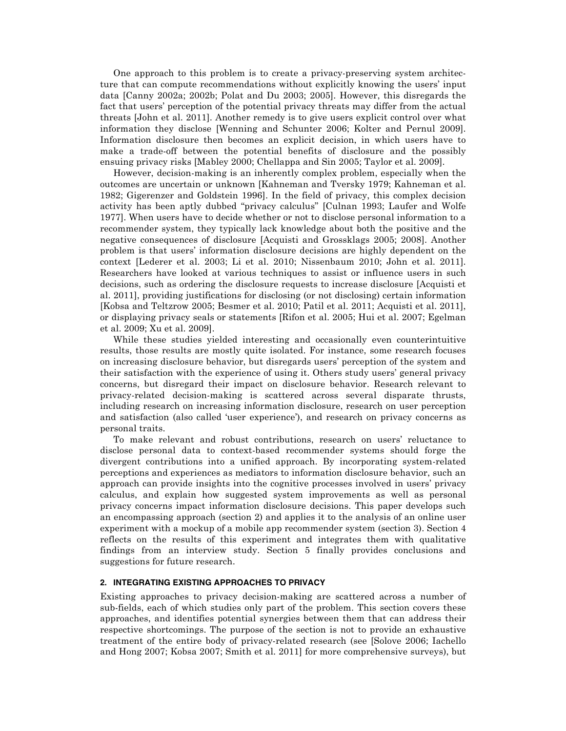One approach to this problem is to create a privacy-preserving system architecture that can compute recommendations without explicitly knowing the users' input data [Canny 2002a; 2002b; Polat and Du 2003; 2005]. However, this disregards the fact that users' perception of the potential privacy threats may differ from the actual threats [John et al. 2011]. Another remedy is to give users explicit control over what information they disclose [Wenning and Schunter 2006; Kolter and Pernul 2009]. Information disclosure then becomes an explicit decision, in which users have to make a trade-off between the potential benefits of disclosure and the possibly ensuing privacy risks [Mabley 2000; Chellappa and Sin 2005; Taylor et al. 2009].

However, decision-making is an inherently complex problem, especially when the outcomes are uncertain or unknown [Kahneman and Tversky 1979; Kahneman et al. 1982; Gigerenzer and Goldstein 1996]. In the field of privacy, this complex decision activity has been aptly dubbed "privacy calculus" [Culnan 1993; Laufer and Wolfe 1977]. When users have to decide whether or not to disclose personal information to a recommender system, they typically lack knowledge about both the positive and the negative consequences of disclosure [Acquisti and Grossklags 2005; 2008]. Another problem is that users' information disclosure decisions are highly dependent on the context [Lederer et al. 2003; Li et al. 2010; Nissenbaum 2010; John et al. 2011]. Researchers have looked at various techniques to assist or influence users in such decisions, such as ordering the disclosure requests to increase disclosure [Acquisti et al. 2011], providing justifications for disclosing (or not disclosing) certain information [Kobsa and Teltzrow 2005; Besmer et al. 2010; Patil et al. 2011; Acquisti et al. 2011], or displaying privacy seals or statements [Rifon et al. 2005; Hui et al. 2007; Egelman et al. 2009; Xu et al. 2009].

While these studies yielded interesting and occasionally even counterintuitive results, those results are mostly quite isolated. For instance, some research focuses on increasing disclosure behavior, but disregards users' perception of the system and their satisfaction with the experience of using it. Others study users' general privacy concerns, but disregard their impact on disclosure behavior. Research relevant to privacy-related decision-making is scattered across several disparate thrusts, including research on increasing information disclosure, research on user perception and satisfaction (also called 'user experience'), and research on privacy concerns as personal traits.

To make relevant and robust contributions, research on users' reluctance to disclose personal data to context-based recommender systems should forge the divergent contributions into a unified approach. By incorporating system-related perceptions and experiences as mediators to information disclosure behavior, such an approach can provide insights into the cognitive processes involved in users' privacy calculus, and explain how suggested system improvements as well as personal privacy concerns impact information disclosure decisions. This paper develops such an encompassing approach (section 2) and applies it to the analysis of an online user experiment with a mockup of a mobile app recommender system (section 3). Section 4 reflects on the results of this experiment and integrates them with qualitative findings from an interview study. Section 5 finally provides conclusions and suggestions for future research.

## **2. INTEGRATING EXISTING APPROACHES TO PRIVACY**

Existing approaches to privacy decision-making are scattered across a number of sub-fields, each of which studies only part of the problem. This section covers these approaches, and identifies potential synergies between them that can address their respective shortcomings. The purpose of the section is not to provide an exhaustive treatment of the entire body of privacy-related research (see [Solove 2006; Iachello and Hong 2007; Kobsa 2007; Smith et al. 2011] for more comprehensive surveys), but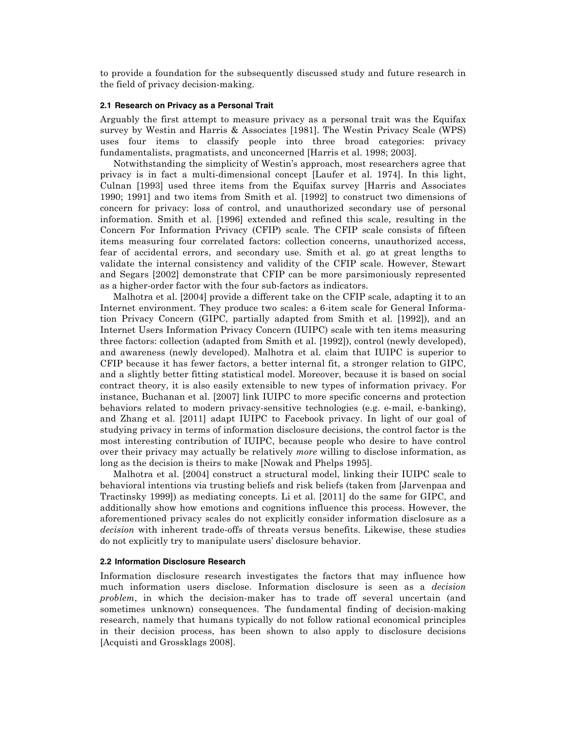to provide a foundation for the subsequently discussed study and future research in the field of privacy decision-making.

## **2.1 Research on Privacy as a Personal Trait**

Arguably the first attempt to measure privacy as a personal trait was the Equifax survey by Westin and Harris & Associates [1981]. The Westin Privacy Scale (WPS) uses four items to classify people into three broad categories: privacy fundamentalists, pragmatists, and unconcerned [Harris et al. 1998; 2003].

Notwithstanding the simplicity of Westin's approach, most researchers agree that privacy is in fact a multi-dimensional concept [Laufer et al. 1974]. In this light, Culnan [1993] used three items from the Equifax survey [Harris and Associates 1990; 1991] and two items from Smith et al. [1992] to construct two dimensions of concern for privacy: loss of control, and unauthorized secondary use of personal information. Smith et al. [1996] extended and refined this scale, resulting in the Concern For Information Privacy (CFIP) scale. The CFIP scale consists of fifteen items measuring four correlated factors: collection concerns, unauthorized access, fear of accidental errors, and secondary use. Smith et al. go at great lengths to validate the internal consistency and validity of the CFIP scale. However, Stewart and Segars [2002] demonstrate that CFIP can be more parsimoniously represented as a higher-order factor with the four sub-factors as indicators.

Malhotra et al. [2004] provide a different take on the CFIP scale, adapting it to an Internet environment. They produce two scales: a 6-item scale for General Information Privacy Concern (GIPC, partially adapted from Smith et al. [1992]), and an Internet Users Information Privacy Concern (IUIPC) scale with ten items measuring three factors: collection (adapted from Smith et al. [1992]), control (newly developed), and awareness (newly developed). Malhotra et al. claim that IUIPC is superior to CFIP because it has fewer factors, a better internal fit, a stronger relation to GIPC, and a slightly better fitting statistical model. Moreover, because it is based on social contract theory, it is also easily extensible to new types of information privacy. For instance, Buchanan et al. [2007] link IUIPC to more specific concerns and protection behaviors related to modern privacy-sensitive technologies (e.g. e-mail, e-banking), and Zhang et al. [2011] adapt IUIPC to Facebook privacy. In light of our goal of studying privacy in terms of information disclosure decisions, the control factor is the most interesting contribution of IUIPC, because people who desire to have control over their privacy may actually be relatively *more* willing to disclose information, as long as the decision is theirs to make [Nowak and Phelps 1995].

Malhotra et al. [2004] construct a structural model, linking their IUIPC scale to behavioral intentions via trusting beliefs and risk beliefs (taken from [Jarvenpaa and Tractinsky 1999]) as mediating concepts. Li et al. [2011] do the same for GIPC, and additionally show how emotions and cognitions influence this process. However, the aforementioned privacy scales do not explicitly consider information disclosure as a *decision* with inherent trade-offs of threats versus benefits. Likewise, these studies do not explicitly try to manipulate users' disclosure behavior.

## **2.2 Information Disclosure Research**

Information disclosure research investigates the factors that may influence how much information users disclose. Information disclosure is seen as a *decision problem*, in which the decision-maker has to trade off several uncertain (and sometimes unknown) consequences. The fundamental finding of decision-making research, namely that humans typically do not follow rational economical principles in their decision process, has been shown to also apply to disclosure decisions [Acquisti and Grossklags 2008].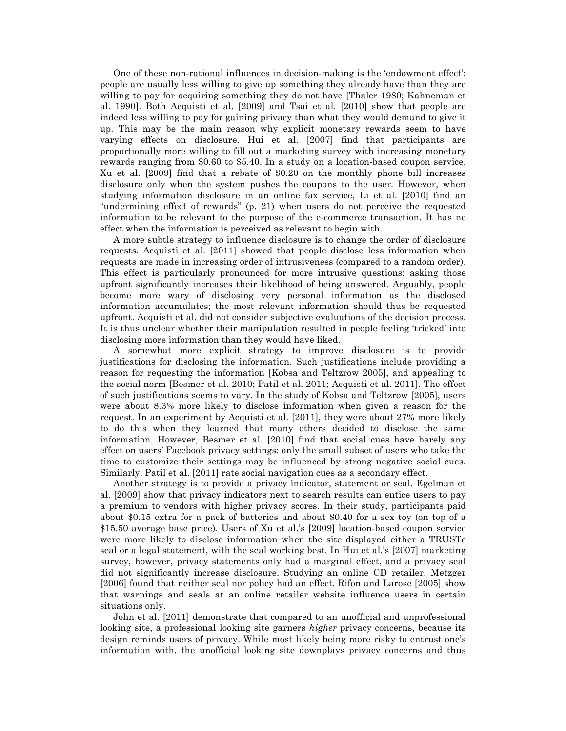One of these non-rational influences in decision-making is the 'endowment effect': people are usually less willing to give up something they already have than they are willing to pay for acquiring something they do not have [Thaler 1980; Kahneman et al. 1990]. Both Acquisti et al. [2009] and Tsai et al. [2010] show that people are indeed less willing to pay for gaining privacy than what they would demand to give it up. This may be the main reason why explicit monetary rewards seem to have varying effects on disclosure. Hui et al. [2007] find that participants are proportionally more willing to fill out a marketing survey with increasing monetary rewards ranging from \$0.60 to \$5.40. In a study on a location-based coupon service, Xu et al. [2009] find that a rebate of \$0.20 on the monthly phone bill increases disclosure only when the system pushes the coupons to the user. However, when studying information disclosure in an online fax service, Li et al. [2010] find an "undermining effect of rewards" (p. 21) when users do not perceive the requested information to be relevant to the purpose of the e-commerce transaction. It has no effect when the information is perceived as relevant to begin with.

A more subtle strategy to influence disclosure is to change the order of disclosure requests. Acquisti et al. [2011] showed that people disclose less information when requests are made in increasing order of intrusiveness (compared to a random order). This effect is particularly pronounced for more intrusive questions: asking those upfront significantly increases their likelihood of being answered. Arguably, people become more wary of disclosing very personal information as the disclosed information accumulates; the most relevant information should thus be requested upfront. Acquisti et al. did not consider subjective evaluations of the decision process. It is thus unclear whether their manipulation resulted in people feeling 'tricked' into disclosing more information than they would have liked.

A somewhat more explicit strategy to improve disclosure is to provide justifications for disclosing the information. Such justifications include providing a reason for requesting the information [Kobsa and Teltzrow 2005], and appealing to the social norm [Besmer et al. 2010; Patil et al. 2011; Acquisti et al. 2011]. The effect of such justifications seems to vary. In the study of Kobsa and Teltzrow [2005], users were about 8.3% more likely to disclose information when given a reason for the request. In an experiment by Acquisti et al. [2011], they were about 27% more likely to do this when they learned that many others decided to disclose the same information. However, Besmer et al. [2010] find that social cues have barely any effect on users' Facebook privacy settings: only the small subset of users who take the time to customize their settings may be influenced by strong negative social cues. Similarly, Patil et al. [2011] rate social navigation cues as a secondary effect.

Another strategy is to provide a privacy indicator, statement or seal. Egelman et al. [2009] show that privacy indicators next to search results can entice users to pay a premium to vendors with higher privacy scores. In their study, participants paid about \$0.15 extra for a pack of batteries and about \$0.40 for a sex toy (on top of a \$15.50 average base price). Users of Xu et al.'s [2009] location-based coupon service were more likely to disclose information when the site displayed either a TRUSTe seal or a legal statement, with the seal working best. In Hui et al.'s [2007] marketing survey, however, privacy statements only had a marginal effect, and a privacy seal did not significantly increase disclosure. Studying an online CD retailer, Metzger [2006] found that neither seal nor policy had an effect. Rifon and Larose [2005] show that warnings and seals at an online retailer website influence users in certain situations only.

John et al. [2011] demonstrate that compared to an unofficial and unprofessional looking site, a professional looking site garners *higher* privacy concerns, because its design reminds users of privacy. While most likely being more risky to entrust one's information with, the unofficial looking site downplays privacy concerns and thus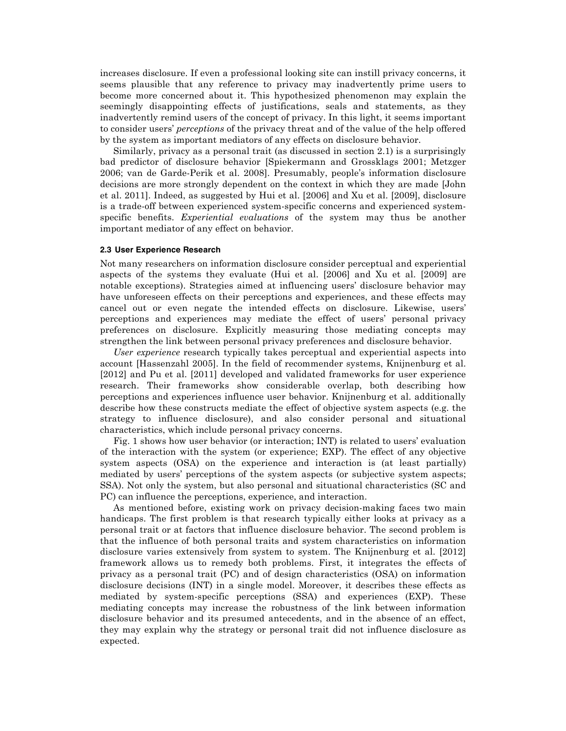increases disclosure. If even a professional looking site can instill privacy concerns, it seems plausible that any reference to privacy may inadvertently prime users to become more concerned about it. This hypothesized phenomenon may explain the seemingly disappointing effects of justifications, seals and statements, as they inadvertently remind users of the concept of privacy. In this light, it seems important to consider users' *perceptions* of the privacy threat and of the value of the help offered by the system as important mediators of any effects on disclosure behavior.

Similarly, privacy as a personal trait (as discussed in section 2.1) is a surprisingly bad predictor of disclosure behavior [Spiekermann and Grossklags 2001; Metzger 2006; van de Garde-Perik et al. 2008]. Presumably, people's information disclosure decisions are more strongly dependent on the context in which they are made [John et al. 2011]. Indeed, as suggested by Hui et al. [2006] and Xu et al. [2009], disclosure is a trade-off between experienced system-specific concerns and experienced systemspecific benefits. *Experiential evaluations* of the system may thus be another important mediator of any effect on behavior.

#### **2.3 User Experience Research**

Not many researchers on information disclosure consider perceptual and experiential aspects of the systems they evaluate (Hui et al. [2006] and Xu et al. [2009] are notable exceptions). Strategies aimed at influencing users' disclosure behavior may have unforeseen effects on their perceptions and experiences, and these effects may cancel out or even negate the intended effects on disclosure. Likewise, users' perceptions and experiences may mediate the effect of users' personal privacy preferences on disclosure. Explicitly measuring those mediating concepts may strengthen the link between personal privacy preferences and disclosure behavior.

*User experience* research typically takes perceptual and experiential aspects into account [Hassenzahl 2005]. In the field of recommender systems, Knijnenburg et al. [2012] and Pu et al. [2011] developed and validated frameworks for user experience research. Their frameworks show considerable overlap, both describing how perceptions and experiences influence user behavior. Knijnenburg et al. additionally describe how these constructs mediate the effect of objective system aspects (e.g. the strategy to influence disclosure), and also consider personal and situational characteristics, which include personal privacy concerns.

Fig. 1 shows how user behavior (or interaction; INT) is related to users' evaluation of the interaction with the system (or experience; EXP). The effect of any objective system aspects (OSA) on the experience and interaction is (at least partially) mediated by users' perceptions of the system aspects (or subjective system aspects; SSA). Not only the system, but also personal and situational characteristics (SC and PC) can influence the perceptions, experience, and interaction.

As mentioned before, existing work on privacy decision-making faces two main handicaps. The first problem is that research typically either looks at privacy as a personal trait or at factors that influence disclosure behavior. The second problem is that the influence of both personal traits and system characteristics on information disclosure varies extensively from system to system. The Knijnenburg et al. [2012] framework allows us to remedy both problems. First, it integrates the effects of privacy as a personal trait (PC) and of design characteristics (OSA) on information disclosure decisions (INT) in a single model. Moreover, it describes these effects as mediated by system-specific perceptions (SSA) and experiences (EXP). These mediating concepts may increase the robustness of the link between information disclosure behavior and its presumed antecedents, and in the absence of an effect, they may explain why the strategy or personal trait did not influence disclosure as expected.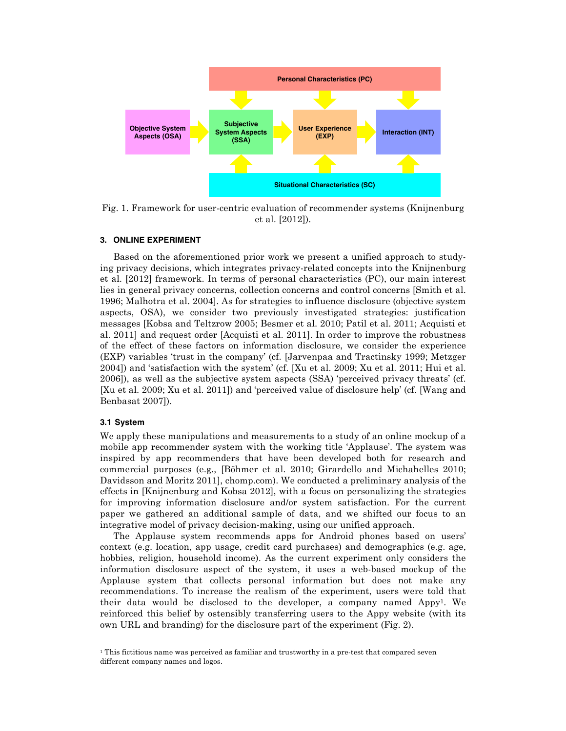

Fig. 1. Framework for user-centric evaluation of recommender systems (Knijnenburg et al. [2012]).

#### **3. ONLINE EXPERIMENT**

Based on the aforementioned prior work we present a unified approach to studying privacy decisions, which integrates privacy-related concepts into the Knijnenburg et al. [2012] framework. In terms of personal characteristics (PC), our main interest lies in general privacy concerns, collection concerns and control concerns [Smith et al. 1996; Malhotra et al. 2004]. As for strategies to influence disclosure (objective system aspects, OSA), we consider two previously investigated strategies: justification messages [Kobsa and Teltzrow 2005; Besmer et al. 2010; Patil et al. 2011; Acquisti et al. 2011] and request order [Acquisti et al. 2011]. In order to improve the robustness of the effect of these factors on information disclosure, we consider the experience (EXP) variables 'trust in the company' (cf. [Jarvenpaa and Tractinsky 1999; Metzger 2004]) and 'satisfaction with the system' (cf. [Xu et al. 2009; Xu et al. 2011; Hui et al. 2006]), as well as the subjective system aspects (SSA) 'perceived privacy threats' (cf. [Xu et al. 2009; Xu et al. 2011]) and 'perceived value of disclosure help' (cf. [Wang and Benbasat 2007]).

## **3.1 System**

We apply these manipulations and measurements to a study of an online mockup of a mobile app recommender system with the working title 'Applause'. The system was inspired by app recommenders that have been developed both for research and commercial purposes (e.g., [Böhmer et al. 2010; Girardello and Michahelles 2010; Davidsson and Moritz 2011], chomp.com). We conducted a preliminary analysis of the effects in [Knijnenburg and Kobsa 2012], with a focus on personalizing the strategies for improving information disclosure and/or system satisfaction. For the current paper we gathered an additional sample of data, and we shifted our focus to an integrative model of privacy decision-making, using our unified approach.

The Applause system recommends apps for Android phones based on users' context (e.g. location, app usage, credit card purchases) and demographics (e.g. age, hobbies, religion, household income). As the current experiment only considers the information disclosure aspect of the system, it uses a web-based mockup of the Applause system that collects personal information but does not make any recommendations. To increase the realism of the experiment, users were told that their data would be disclosed to the developer, a company named  $Appy<sup>1</sup>$ . We reinforced this belief by ostensibly transferring users to the Appy website (with its own URL and branding) for the disclosure part of the experiment (Fig. 2).

<sup>1</sup> This fictitious name was perceived as familiar and trustworthy in a pre-test that compared seven different company names and logos.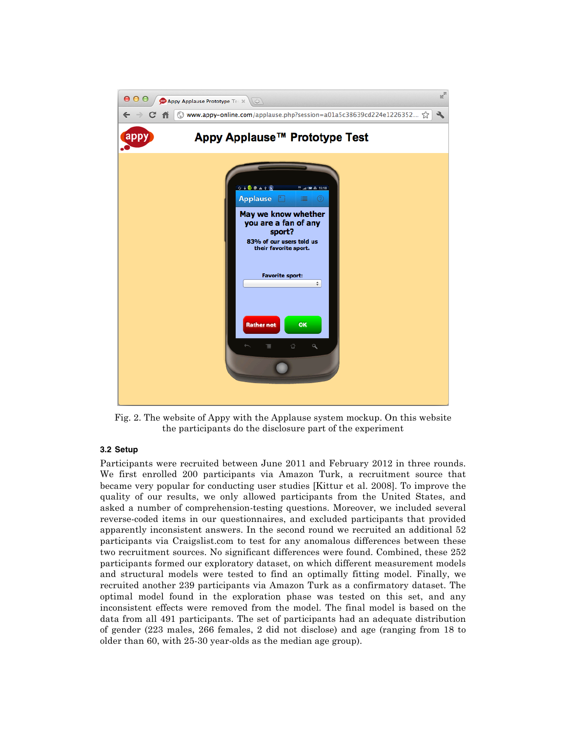

Fig. 2. The website of Appy with the Applause system mockup. On this website the participants do the disclosure part of the experiment

# **3.2 Setup**

Participants were recruited between June 2011 and February 2012 in three rounds. We first enrolled 200 participants via Amazon Turk, a recruitment source that became very popular for conducting user studies [Kittur et al. 2008]. To improve the quality of our results, we only allowed participants from the United States, and asked a number of comprehension-testing questions. Moreover, we included several reverse-coded items in our questionnaires, and excluded participants that provided apparently inconsistent answers. In the second round we recruited an additional 52 participants via Craigslist.com to test for any anomalous differences between these two recruitment sources. No significant differences were found. Combined, these 252 participants formed our exploratory dataset, on which different measurement models and structural models were tested to find an optimally fitting model. Finally, we recruited another 239 participants via Amazon Turk as a confirmatory dataset. The optimal model found in the exploration phase was tested on this set, and any inconsistent effects were removed from the model. The final model is based on the data from all 491 participants. The set of participants had an adequate distribution of gender (223 males, 266 females, 2 did not disclose) and age (ranging from 18 to older than 60, with 25-30 year-olds as the median age group).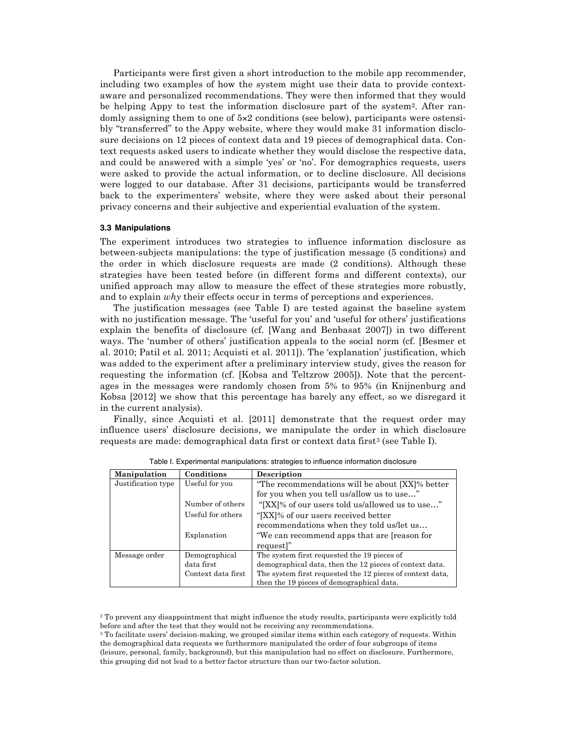Participants were first given a short introduction to the mobile app recommender, including two examples of how the system might use their data to provide contextaware and personalized recommendations. They were then informed that they would be helping Appy to test the information disclosure part of the system<sup>2</sup>. After randomly assigning them to one of 5×2 conditions (see below), participants were ostensibly "transferred" to the Appy website, where they would make 31 information disclosure decisions on 12 pieces of context data and 19 pieces of demographical data. Context requests asked users to indicate whether they would disclose the respective data, and could be answered with a simple 'yes' or 'no'. For demographics requests, users were asked to provide the actual information, or to decline disclosure. All decisions were logged to our database. After 31 decisions, participants would be transferred back to the experimenters' website, where they were asked about their personal privacy concerns and their subjective and experiential evaluation of the system.

#### **3.3 Manipulations**

The experiment introduces two strategies to influence information disclosure as between-subjects manipulations: the type of justification message (5 conditions) and the order in which disclosure requests are made (2 conditions). Although these strategies have been tested before (in different forms and different contexts), our unified approach may allow to measure the effect of these strategies more robustly, and to explain *why* their effects occur in terms of perceptions and experiences.

The justification messages (see Table I) are tested against the baseline system with no justification message. The 'useful for you' and 'useful for others' justifications explain the benefits of disclosure (cf. [Wang and Benbasat 2007]) in two different ways. The 'number of others' justification appeals to the social norm (cf. [Besmer et al. 2010; Patil et al. 2011; Acquisti et al. 2011]). The 'explanation' justification, which was added to the experiment after a preliminary interview study, gives the reason for requesting the information (cf. [Kobsa and Teltzrow 2005]). Note that the percentages in the messages were randomly chosen from 5% to 95% (in Knijnenburg and Kobsa [2012] we show that this percentage has barely any effect, so we disregard it in the current analysis).

Finally, since Acquisti et al. [2011] demonstrate that the request order may influence users' disclosure decisions, we manipulate the order in which disclosure requests are made: demographical data first or context data first<sup>3</sup> (see Table I).

| <b>Manipulation</b> | Conditions         | Description                                               |
|---------------------|--------------------|-----------------------------------------------------------|
| Justification type  | Useful for you     | "The recommendations will be about [XX]% better           |
|                     |                    | for you when you tell us/allow us to use"                 |
|                     | Number of others   | "[XX]% of our users told us/allowed us to use"            |
|                     | Useful for others  | "[XX]% of our users received better"                      |
|                     |                    | recommendations when they told us/let us                  |
|                     | Explanation        | "We can recommend apps that are [reason for               |
|                     |                    | request]"                                                 |
| Message order       | Demographical      | The system first requested the 19 pieces of               |
|                     | data first         | demographical data, then the 12 pieces of context data.   |
|                     | Context data first | The system first requested the 12 pieces of context data, |
|                     |                    | then the 19 pieces of demographical data.                 |

Table I. Experimental manipulations: strategies to influence information disclosure

<sup>2</sup> To prevent any disappointment that might influence the study results, participants were explicitly told before and after the test that they would not be receiving any recommendations.

<sup>3</sup> To facilitate users' decision-making, we grouped similar items within each category of requests. Within the demographical data requests we furthermore manipulated the order of four subgroups of items (leisure, personal, family, background), but this manipulation had no effect on disclosure. Furthermore, this grouping did not lead to a better factor structure than our two-factor solution.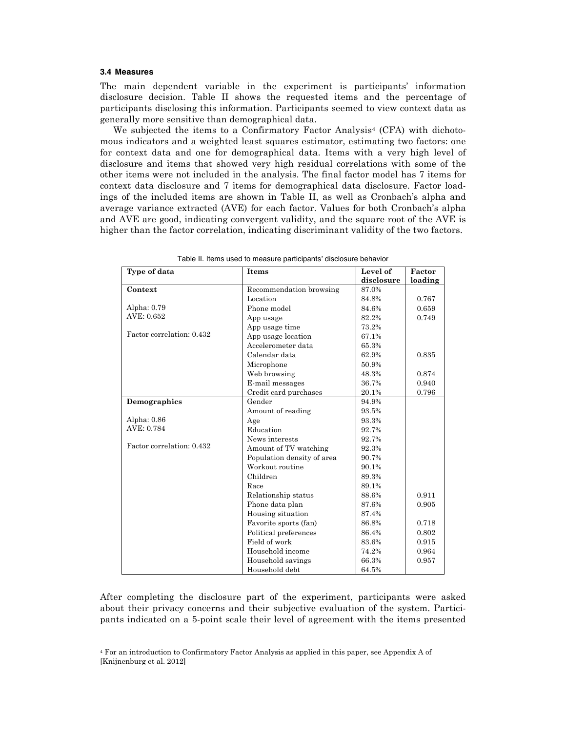## **3.4 Measures**

The main dependent variable in the experiment is participants' information disclosure decision. Table II shows the requested items and the percentage of participants disclosing this information. Participants seemed to view context data as generally more sensitive than demographical data.

We subjected the items to a Confirmatory Factor Analysis<sup>4</sup> (CFA) with dichotomous indicators and a weighted least squares estimator, estimating two factors: one for context data and one for demographical data. Items with a very high level of disclosure and items that showed very high residual correlations with some of the other items were not included in the analysis. The final factor model has 7 items for context data disclosure and 7 items for demographical data disclosure. Factor loadings of the included items are shown in Table II, as well as Cronbach's alpha and average variance extracted (AVE) for each factor. Values for both Cronbach's alpha and AVE are good, indicating convergent validity, and the square root of the AVE is higher than the factor correlation, indicating discriminant validity of the two factors.

| Type of data              | Items                      | Level of   | Factor  |
|---------------------------|----------------------------|------------|---------|
|                           |                            | disclosure | loading |
| Context                   | Recommendation browsing    | 87.0%      |         |
|                           | Location                   | 84.8%      | 0.767   |
| Alpha: 0.79               | Phone model                | 84.6%      | 0.659   |
| AVE: 0.652                | App usage                  | 82.2%      | 0.749   |
|                           | App usage time             | 73.2%      |         |
| Factor correlation: 0.432 | App usage location         | 67.1%      |         |
|                           | Accelerometer data         | 65.3%      |         |
|                           | Calendar data              | 62.9%      | 0.835   |
|                           | Microphone                 | 50.9%      |         |
|                           | Web browsing               | 48.3%      | 0.874   |
|                           | E-mail messages            | 36.7%      | 0.940   |
|                           | Credit card purchases      | 20.1%      | 0.796   |
| Demographics              | Gender                     | 94.9%      |         |
|                           | Amount of reading          | 93.5%      |         |
| Alpha: 0.86               | Age                        | 93.3%      |         |
| AVE: 0.784                | Education                  | 92.7%      |         |
|                           | News interests             | 92.7%      |         |
| Factor correlation: 0.432 | Amount of TV watching      | 92.3%      |         |
|                           | Population density of area | 90.7%      |         |
|                           | Workout routine            | 90.1%      |         |
|                           | Children                   | 89.3%      |         |
|                           | Race                       | 89.1%      |         |
|                           | Relationship status        | 88.6%      | 0.911   |
|                           | Phone data plan            | 87.6%      | 0.905   |
|                           | Housing situation          | 87.4%      |         |
|                           | Favorite sports (fan)      | 86.8%      | 0.718   |
|                           | Political preferences      | 86.4%      | 0.802   |
|                           | Field of work              | 83.6%      | 0.915   |
|                           | Household income           | 74.2%      | 0.964   |
|                           | Household savings          | 66.3%      | 0.957   |
|                           | Household debt             | 64.5%      |         |

Table II. Items used to measure participants' disclosure behavior

After completing the disclosure part of the experiment, participants were asked about their privacy concerns and their subjective evaluation of the system. Participants indicated on a 5-point scale their level of agreement with the items presented

<sup>4</sup> For an introduction to Confirmatory Factor Analysis as applied in this paper, see Appendix A of [Knijnenburg et al. 2012]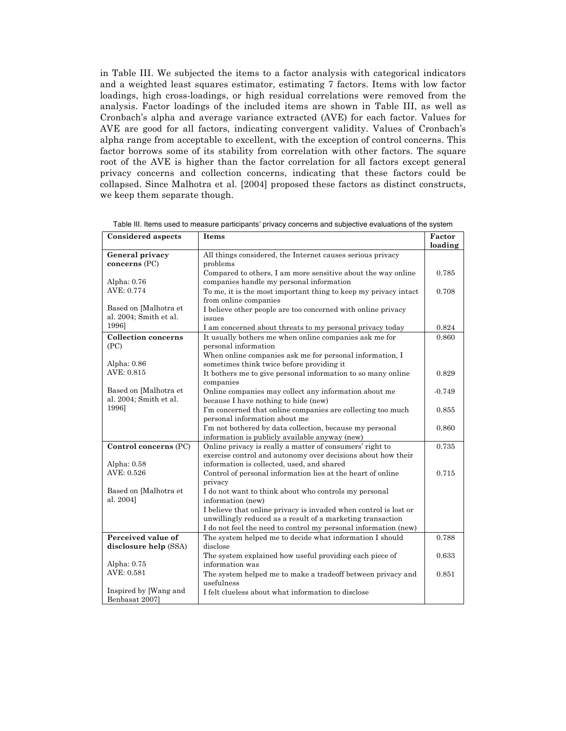in Table III. We subjected the items to a factor analysis with categorical indicators and a weighted least squares estimator, estimating 7 factors. Items with low factor loadings, high cross-loadings, or high residual correlations were removed from the analysis. Factor loadings of the included items are shown in Table III, as well as Cronbach's alpha and average variance extracted (AVE) for each factor. Values for AVE are good for all factors, indicating convergent validity. Values of Cronbach's alpha range from acceptable to excellent, with the exception of control concerns. This factor borrows some of its stability from correlation with other factors. The square root of the AVE is higher than the factor correlation for all factors except general privacy concerns and collection concerns, indicating that these factors could be collapsed. Since Malhotra et al. [2004] proposed these factors as distinct constructs, we keep them separate though.

| <b>Considered aspects</b>                       | Items                                                                                                                          | Factor<br>loading |
|-------------------------------------------------|--------------------------------------------------------------------------------------------------------------------------------|-------------------|
| General privacy<br>concerns (PC)                | All things considered, the Internet causes serious privacy<br>problems                                                         |                   |
| Alpha: 0.76                                     | Compared to others, I am more sensitive about the way online<br>companies handle my personal information                       | 0.785             |
| AVE: 0.774                                      | To me, it is the most important thing to keep my privacy intact<br>from online companies                                       | 0.708             |
| Based on [Malhotra et<br>al. 2004; Smith et al. | I believe other people are too concerned with online privacy<br>issues                                                         |                   |
| 1996]                                           | I am concerned about threats to my personal privacy today                                                                      | 0.824             |
| <b>Collection concerns</b><br>(PC)              | It usually bothers me when online companies ask me for<br>personal information                                                 | 0.860             |
| Alpha: 0.86                                     | When online companies ask me for personal information, I<br>sometimes think twice before providing it                          |                   |
| AVE: 0.815                                      | It bothers me to give personal information to so many online<br>companies                                                      | 0.829             |
| Based on [Malhotra et<br>al. 2004; Smith et al. | Online companies may collect any information about me<br>because I have nothing to hide (new)                                  | $-0.749$          |
| 1996]                                           | I'm concerned that online companies are collecting too much<br>personal information about me                                   | 0.855             |
|                                                 | I'm not bothered by data collection, because my personal<br>information is publicly available anyway (new)                     | 0.860             |
| Control concerns (PC)                           | Online privacy is really a matter of consumers' right to<br>exercise control and autonomy over decisions about how their       | 0.735             |
| Alpha: 0.58                                     | information is collected, used, and shared                                                                                     |                   |
| AVE: 0.526                                      | Control of personal information lies at the heart of online<br>privacy                                                         | 0.715             |
| Based on [Malhotra et<br>al. 2004]              | I do not want to think about who controls my personal<br>information (new)                                                     |                   |
|                                                 | I believe that online privacy is invaded when control is lost or<br>unwillingly reduced as a result of a marketing transaction |                   |
|                                                 | I do not feel the need to control my personal information (new)                                                                |                   |
| Perceived value of                              | The system helped me to decide what information I should                                                                       | 0.788             |
| disclosure help (SSA)                           | disclose                                                                                                                       |                   |
| Alpha: 0.75                                     | The system explained how useful providing each piece of<br>information was                                                     | 0.633             |
| AVE: 0.581                                      | The system helped me to make a tradeoff between privacy and<br>usefulness                                                      | 0.851             |
| Inspired by [Wang and<br>Benbasat 2007]         | I felt clueless about what information to disclose                                                                             |                   |

Table III. Items used to measure participants' privacy concerns and subjective evaluations of the system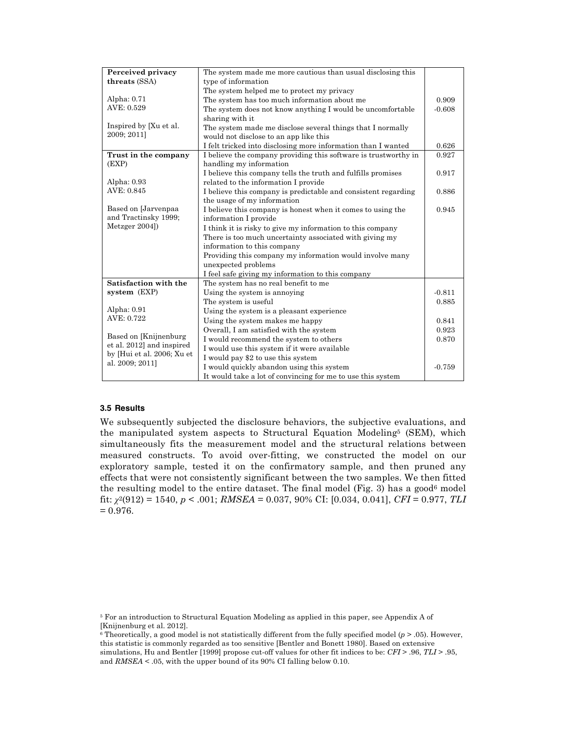| Perceived privacy          | The system made me more cautious than usual disclosing this     |          |
|----------------------------|-----------------------------------------------------------------|----------|
| threats (SSA)              | type of information                                             |          |
|                            | The system helped me to protect my privacy                      |          |
| Alpha: 0.71                | The system has too much information about me                    | 0.909    |
| AVE: 0.529                 | The system does not know anything I would be uncomfortable      | $-0.608$ |
|                            | sharing with it                                                 |          |
| Inspired by [Xu et al.     | The system made me disclose several things that I normally      |          |
| 2009; 2011]                | would not disclose to an app like this                          |          |
|                            | I felt tricked into disclosing more information than I wanted   | 0.626    |
| Trust in the company       | I believe the company providing this software is trustworthy in | 0.927    |
| (EXP)                      | handling my information                                         |          |
|                            | I believe this company tells the truth and fulfills promises    | 0.917    |
| Alpha: 0.93                | related to the information I provide                            |          |
| AVE: 0.845                 | I believe this company is predictable and consistent regarding  | 0.886    |
|                            | the usage of my information                                     |          |
| Based on [Jarvenpaa        | I believe this company is honest when it comes to using the     | 0.945    |
| and Tractinsky 1999;       | information I provide                                           |          |
| Metzger 2004])             | I think it is risky to give my information to this company      |          |
|                            | There is too much uncertainty associated with giving my         |          |
|                            | information to this company                                     |          |
|                            | Providing this company my information would involve many        |          |
|                            | unexpected problems                                             |          |
|                            | I feel safe giving my information to this company               |          |
| Satisfaction with the      | The system has no real benefit to me                            |          |
| system (EXP)               | Using the system is annoying                                    | $-0.811$ |
|                            | The system is useful.                                           | 0.885    |
| Alpha: 0.91                | Using the system is a pleasant experience                       |          |
| AVE: 0.722                 | Using the system makes me happy                                 | 0.841    |
|                            | Overall, I am satisfied with the system                         | 0.923    |
| Based on [Knijnenburg]     | I would recommend the system to others                          | 0.870    |
| et al. 2012] and inspired  | I would use this system if it were available                    |          |
| by [Hui et al. 2006; Xu et | I would pay \$2 to use this system                              |          |
| al. 2009; 2011]            | I would quickly abandon using this system                       | $-0.759$ |
|                            | It would take a lot of convincing for me to use this system     |          |

#### **3.5 Results**

We subsequently subjected the disclosure behaviors, the subjective evaluations, and the manipulated system aspects to Structural Equation Modeling5 (SEM), which simultaneously fits the measurement model and the structural relations between measured constructs. To avoid over-fitting, we constructed the model on our exploratory sample, tested it on the confirmatory sample, and then pruned any effects that were not consistently significant between the two samples. We then fitted the resulting model to the entire dataset. The final model (Fig. 3) has a good<sup>6</sup> model fit: *χ*2(912) = 1540, *p* < .001; *RMSEA* = 0.037, 90% CI: [0.034, 0.041], *CFI* = 0.977, *TLI*  $= 0.976.$ 

<sup>5</sup> For an introduction to Structural Equation Modeling as applied in this paper, see Appendix A of [Knijnenburg et al. 2012].

 $6$  Theoretically, a good model is not statistically different from the fully specified model ( $p > .05$ ). However, this statistic is commonly regarded as too sensitive [Bentler and Bonett 1980]. Based on extensive simulations, Hu and Bentler [1999] propose cut-off values for other fit indices to be: *CFI* > .96, *TLI* > .95, and *RMSEA* < .05, with the upper bound of its 90% CI falling below 0.10.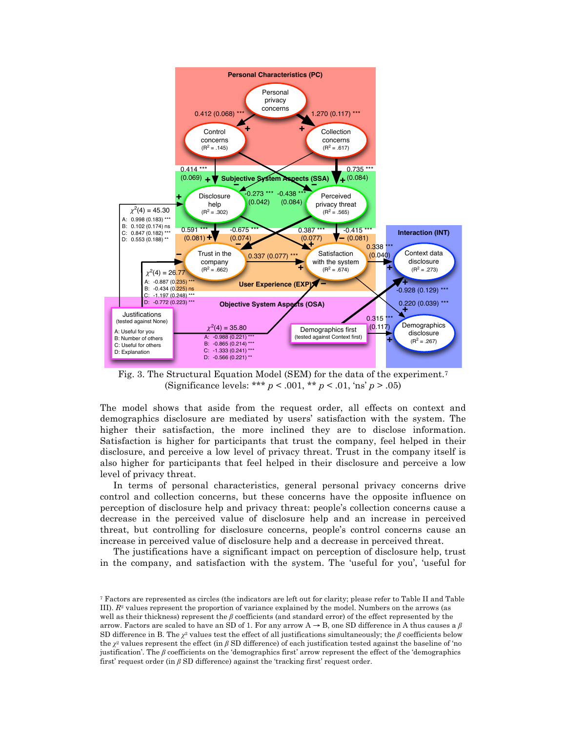

Fig. 3. The Structural Equation Model (SEM) for the data of the experiment.7 (Significance levels: \*\*\* *p* < .001, \*\* *p* < .01, 'ns' *p* > .05)

The model shows that aside from the request order, all effects on context and demographics disclosure are mediated by users' satisfaction with the system. The higher their satisfaction, the more inclined they are to disclose information. Satisfaction is higher for participants that trust the company, feel helped in their disclosure, and perceive a low level of privacy threat. Trust in the company itself is also higher for participants that feel helped in their disclosure and perceive a low level of privacy threat.

In terms of personal characteristics, general personal privacy concerns drive control and collection concerns, but these concerns have the opposite influence on perception of disclosure help and privacy threat: people's collection concerns cause a decrease in the perceived value of disclosure help and an increase in perceived threat, but controlling for disclosure concerns, people's control concerns cause an increase in perceived value of disclosure help and a decrease in perceived threat.

The justifications have a significant impact on perception of disclosure help, trust in the company, and satisfaction with the system. The 'useful for you', 'useful for

<sup>7</sup> Factors are represented as circles (the indicators are left out for clarity; please refer to Table II and Table III). *R*<sup>2</sup> values represent the proportion of variance explained by the model. Numbers on the arrows (as well as their thickness) represent the *β* coefficients (and standard error) of the effect represented by the arrow. Factors are scaled to have an SD of 1. For any arrow A → B, one SD difference in A thus causes a *β* SD difference in B. The *χ*<sup>2</sup> values test the effect of all justifications simultaneously; the *β* coefficients below the *χ*<sup>2</sup> values represent the effect (in *β* SD difference) of each justification tested against the baseline of 'no justification'. The *β* coefficients on the 'demographics first' arrow represent the effect of the 'demographics first' request order (in *β* SD difference) against the 'tracking first' request order.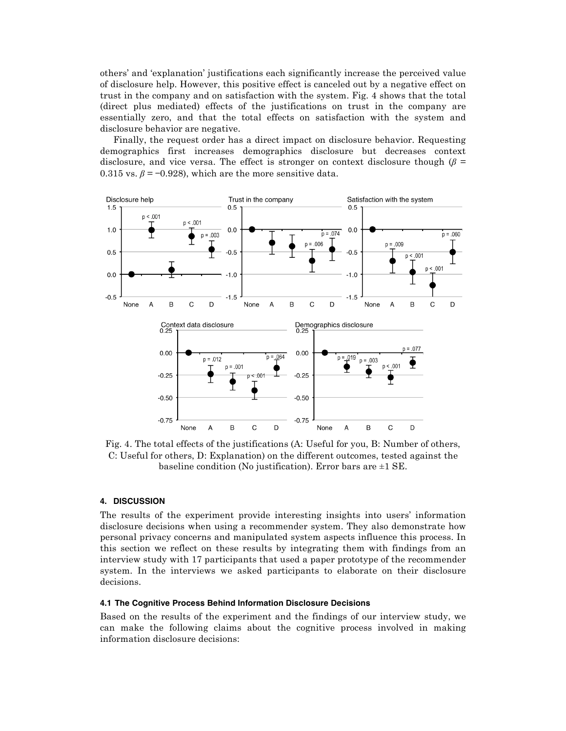others' and 'explanation' justifications each significantly increase the perceived value of disclosure help. However, this positive effect is canceled out by a negative effect on trust in the company and on satisfaction with the system. Fig. 4 shows that the total (direct plus mediated) effects of the justifications on trust in the company are essentially zero, and that the total effects on satisfaction with the system and disclosure behavior are negative.

Finally, the request order has a direct impact on disclosure behavior. Requesting demographics first increases demographics disclosure but decreases context disclosure, and vice versa. The effect is stronger on context disclosure though  $(\beta =$ 0.315 vs.  $\beta$  = -0.928), which are the more sensitive data.



Fig. 4. The total effects of the justifications (A: Useful for you, B: Number of others, C: Useful for others, D: Explanation) on the different outcomes, tested against the baseline condition (No justification). Error bars are  $\pm 1$  SE.

## **4. DISCUSSION**

The results of the experiment provide interesting insights into users' information disclosure decisions when using a recommender system. They also demonstrate how personal privacy concerns and manipulated system aspects influence this process. In this section we reflect on these results by integrating them with findings from an interview study with 17 participants that used a paper prototype of the recommender system. In the interviews we asked participants to elaborate on their disclosure decisions.

### **4.1 The Cognitive Process Behind Information Disclosure Decisions**

Based on the results of the experiment and the findings of our interview study, we can make the following claims about the cognitive process involved in making information disclosure decisions: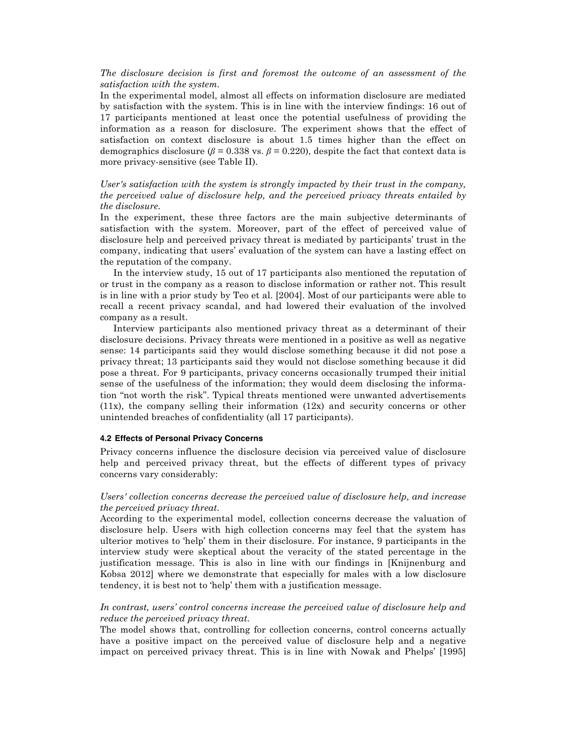# *The disclosure decision is first and foremost the outcome of an assessment of the satisfaction with the system.*

In the experimental model, almost all effects on information disclosure are mediated by satisfaction with the system. This is in line with the interview findings: 16 out of 17 participants mentioned at least once the potential usefulness of providing the information as a reason for disclosure. The experiment shows that the effect of satisfaction on context disclosure is about 1.5 times higher than the effect on demographics disclosure ( $\beta$  = 0.338 vs.  $\beta$  = 0.220), despite the fact that context data is more privacy-sensitive (see Table II).

*User's satisfaction with the system is strongly impacted by their trust in the company, the perceived value of disclosure help, and the perceived privacy threats entailed by the disclosure.*

In the experiment, these three factors are the main subjective determinants of satisfaction with the system. Moreover, part of the effect of perceived value of disclosure help and perceived privacy threat is mediated by participants' trust in the company, indicating that users' evaluation of the system can have a lasting effect on the reputation of the company.

In the interview study, 15 out of 17 participants also mentioned the reputation of or trust in the company as a reason to disclose information or rather not. This result is in line with a prior study by Teo et al. [2004]. Most of our participants were able to recall a recent privacy scandal, and had lowered their evaluation of the involved company as a result.

Interview participants also mentioned privacy threat as a determinant of their disclosure decisions. Privacy threats were mentioned in a positive as well as negative sense: 14 participants said they would disclose something because it did not pose a privacy threat; 13 participants said they would not disclose something because it did pose a threat. For 9 participants, privacy concerns occasionally trumped their initial sense of the usefulness of the information; they would deem disclosing the information "not worth the risk". Typical threats mentioned were unwanted advertisements  $(11x)$ , the company selling their information  $(12x)$  and security concerns or other unintended breaches of confidentiality (all 17 participants).

#### **4.2 Effects of Personal Privacy Concerns**

Privacy concerns influence the disclosure decision via perceived value of disclosure help and perceived privacy threat, but the effects of different types of privacy concerns vary considerably:

## *Users' collection concerns decrease the perceived value of disclosure help, and increase the perceived privacy threat.*

According to the experimental model, collection concerns decrease the valuation of disclosure help. Users with high collection concerns may feel that the system has ulterior motives to 'help' them in their disclosure. For instance, 9 participants in the interview study were skeptical about the veracity of the stated percentage in the justification message. This is also in line with our findings in [Knijnenburg and Kobsa 2012] where we demonstrate that especially for males with a low disclosure tendency, it is best not to 'help' them with a justification message.

# *In contrast, users' control concerns increase the perceived value of disclosure help and reduce the perceived privacy threat.*

The model shows that, controlling for collection concerns, control concerns actually have a positive impact on the perceived value of disclosure help and a negative impact on perceived privacy threat. This is in line with Nowak and Phelps' [1995]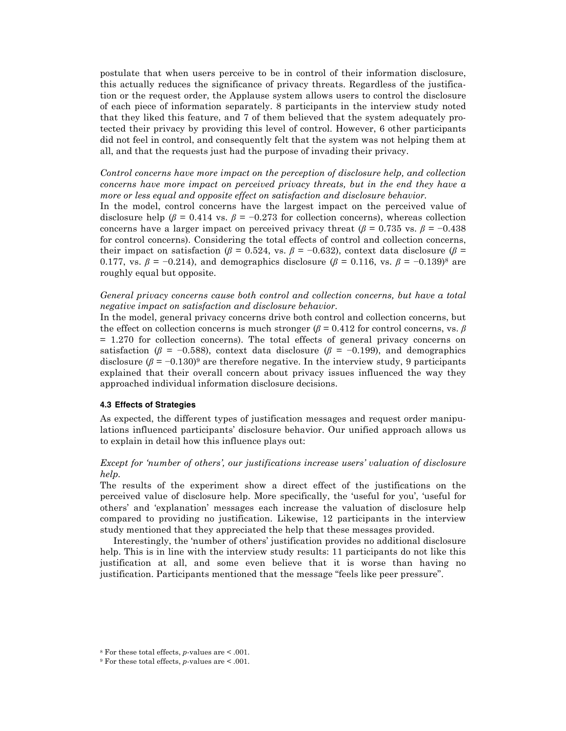postulate that when users perceive to be in control of their information disclosure, this actually reduces the significance of privacy threats. Regardless of the justification or the request order, the Applause system allows users to control the disclosure of each piece of information separately. 8 participants in the interview study noted that they liked this feature, and 7 of them believed that the system adequately protected their privacy by providing this level of control. However, 6 other participants did not feel in control, and consequently felt that the system was not helping them at all, and that the requests just had the purpose of invading their privacy.

*Control concerns have more impact on the perception of disclosure help, and collection concerns have more impact on perceived privacy threats, but in the end they have a more or less equal and opposite effect on satisfaction and disclosure behavior.*

In the model, control concerns have the largest impact on the perceived value of disclosure help ( $\beta$  = 0.414 vs.  $\beta$  = −0.273 for collection concerns), whereas collection concerns have a larger impact on perceived privacy threat ( $\beta$  = 0.735 vs.  $\beta$  = −0.438 for control concerns). Considering the total effects of control and collection concerns, their impact on satisfaction ( $\beta$  = 0.524, vs.  $\beta$  = −0.632), context data disclosure ( $\beta$  = 0.177, vs. *β* = −0.214), and demographics disclosure (*β* = 0.116, vs. *β* = −0.139)<sup>8</sup> are roughly equal but opposite.

*General privacy concerns cause both control and collection concerns, but have a total negative impact on satisfaction and disclosure behavior.*

In the model, general privacy concerns drive both control and collection concerns, but the effect on collection concerns is much stronger  $(\beta = 0.412$  for control concerns, vs.  $\beta$ = 1.270 for collection concerns). The total effects of general privacy concerns on satisfaction ( $\beta$  = −0.588), context data disclosure ( $\beta$  = −0.199), and demographics disclosure  $(\beta = -0.130)^9$  are therefore negative. In the interview study, 9 participants explained that their overall concern about privacy issues influenced the way they approached individual information disclosure decisions.

## **4.3 Effects of Strategies**

As expected, the different types of justification messages and request order manipulations influenced participants' disclosure behavior. Our unified approach allows us to explain in detail how this influence plays out:

# *Except for 'number of others', our justifications increase users' valuation of disclosure help.*

The results of the experiment show a direct effect of the justifications on the perceived value of disclosure help. More specifically, the 'useful for you', 'useful for others' and 'explanation' messages each increase the valuation of disclosure help compared to providing no justification. Likewise, 12 participants in the interview study mentioned that they appreciated the help that these messages provided.

Interestingly, the 'number of others' justification provides no additional disclosure help. This is in line with the interview study results: 11 participants do not like this justification at all, and some even believe that it is worse than having no justification. Participants mentioned that the message "feels like peer pressure".

<sup>8</sup> For these total effects, *p*-values are < .001.

<sup>9</sup> For these total effects, *p*-values are < .001.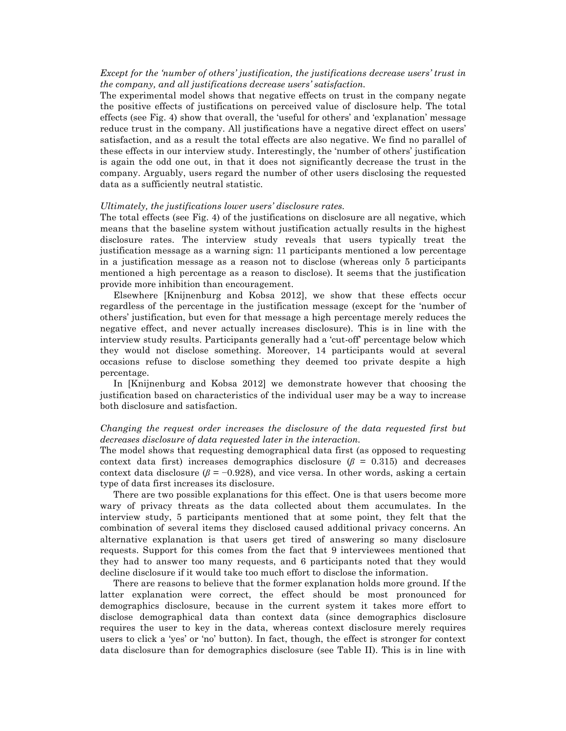# *Except for the 'number of others' justification, the justifications decrease users' trust in the company, and all justifications decrease users' satisfaction.*

The experimental model shows that negative effects on trust in the company negate the positive effects of justifications on perceived value of disclosure help. The total effects (see Fig. 4) show that overall, the 'useful for others' and 'explanation' message reduce trust in the company. All justifications have a negative direct effect on users' satisfaction, and as a result the total effects are also negative. We find no parallel of these effects in our interview study. Interestingly, the 'number of others' justification is again the odd one out, in that it does not significantly decrease the trust in the company. Arguably, users regard the number of other users disclosing the requested data as a sufficiently neutral statistic.

#### *Ultimately, the justifications lower users' disclosure rates.*

The total effects (see Fig. 4) of the justifications on disclosure are all negative, which means that the baseline system without justification actually results in the highest disclosure rates. The interview study reveals that users typically treat the justification message as a warning sign: 11 participants mentioned a low percentage in a justification message as a reason not to disclose (whereas only 5 participants mentioned a high percentage as a reason to disclose). It seems that the justification provide more inhibition than encouragement.

Elsewhere [Knijnenburg and Kobsa 2012], we show that these effects occur regardless of the percentage in the justification message (except for the 'number of others' justification, but even for that message a high percentage merely reduces the negative effect, and never actually increases disclosure). This is in line with the interview study results. Participants generally had a 'cut-off' percentage below which they would not disclose something. Moreover, 14 participants would at several occasions refuse to disclose something they deemed too private despite a high percentage.

In [Knijnenburg and Kobsa 2012] we demonstrate however that choosing the justification based on characteristics of the individual user may be a way to increase both disclosure and satisfaction.

# *Changing the request order increases the disclosure of the data requested first but decreases disclosure of data requested later in the interaction.*

The model shows that requesting demographical data first (as opposed to requesting context data first) increases demographics disclosure  $(\beta = 0.315)$  and decreases context data disclosure ( $\beta$  = −0.928), and vice versa. In other words, asking a certain type of data first increases its disclosure.

There are two possible explanations for this effect. One is that users become more wary of privacy threats as the data collected about them accumulates. In the interview study, 5 participants mentioned that at some point, they felt that the combination of several items they disclosed caused additional privacy concerns. An alternative explanation is that users get tired of answering so many disclosure requests. Support for this comes from the fact that 9 interviewees mentioned that they had to answer too many requests, and 6 participants noted that they would decline disclosure if it would take too much effort to disclose the information.

There are reasons to believe that the former explanation holds more ground. If the latter explanation were correct, the effect should be most pronounced for demographics disclosure, because in the current system it takes more effort to disclose demographical data than context data (since demographics disclosure requires the user to key in the data, whereas context disclosure merely requires users to click a 'yes' or 'no' button). In fact, though, the effect is stronger for context data disclosure than for demographics disclosure (see Table II). This is in line with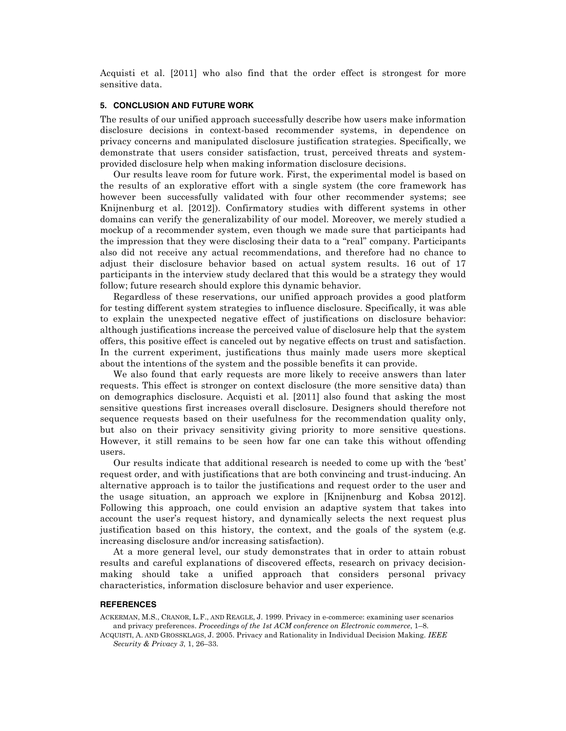Acquisti et al. [2011] who also find that the order effect is strongest for more sensitive data.

## **5. CONCLUSION AND FUTURE WORK**

The results of our unified approach successfully describe how users make information disclosure decisions in context-based recommender systems, in dependence on privacy concerns and manipulated disclosure justification strategies. Specifically, we demonstrate that users consider satisfaction, trust, perceived threats and systemprovided disclosure help when making information disclosure decisions.

Our results leave room for future work. First, the experimental model is based on the results of an explorative effort with a single system (the core framework has however been successfully validated with four other recommender systems; see Knijnenburg et al. [2012]). Confirmatory studies with different systems in other domains can verify the generalizability of our model. Moreover, we merely studied a mockup of a recommender system, even though we made sure that participants had the impression that they were disclosing their data to a "real" company. Participants also did not receive any actual recommendations, and therefore had no chance to adjust their disclosure behavior based on actual system results. 16 out of 17 participants in the interview study declared that this would be a strategy they would follow; future research should explore this dynamic behavior.

Regardless of these reservations, our unified approach provides a good platform for testing different system strategies to influence disclosure. Specifically, it was able to explain the unexpected negative effect of justifications on disclosure behavior: although justifications increase the perceived value of disclosure help that the system offers, this positive effect is canceled out by negative effects on trust and satisfaction. In the current experiment, justifications thus mainly made users more skeptical about the intentions of the system and the possible benefits it can provide.

We also found that early requests are more likely to receive answers than later requests. This effect is stronger on context disclosure (the more sensitive data) than on demographics disclosure. Acquisti et al. [2011] also found that asking the most sensitive questions first increases overall disclosure. Designers should therefore not sequence requests based on their usefulness for the recommendation quality only, but also on their privacy sensitivity giving priority to more sensitive questions. However, it still remains to be seen how far one can take this without offending users.

Our results indicate that additional research is needed to come up with the 'best' request order, and with justifications that are both convincing and trust-inducing. An alternative approach is to tailor the justifications and request order to the user and the usage situation, an approach we explore in [Knijnenburg and Kobsa 2012]. Following this approach, one could envision an adaptive system that takes into account the user's request history, and dynamically selects the next request plus justification based on this history, the context, and the goals of the system (e.g. increasing disclosure and/or increasing satisfaction).

At a more general level, our study demonstrates that in order to attain robust results and careful explanations of discovered effects, research on privacy decisionmaking should take a unified approach that considers personal privacy characteristics, information disclosure behavior and user experience.

## **REFERENCES**

ACKERMAN, M.S., CRANOR, L.F., AND REAGLE, J. 1999. Privacy in e-commerce: examining user scenarios and privacy preferences. *Proceedings of the 1st ACM conference on Electronic commerce*, 1–8.

ACQUISTI, A. AND GROSSKLAGS, J. 2005. Privacy and Rationality in Individual Decision Making. *IEEE Security & Privacy 3*, 1, 26–33.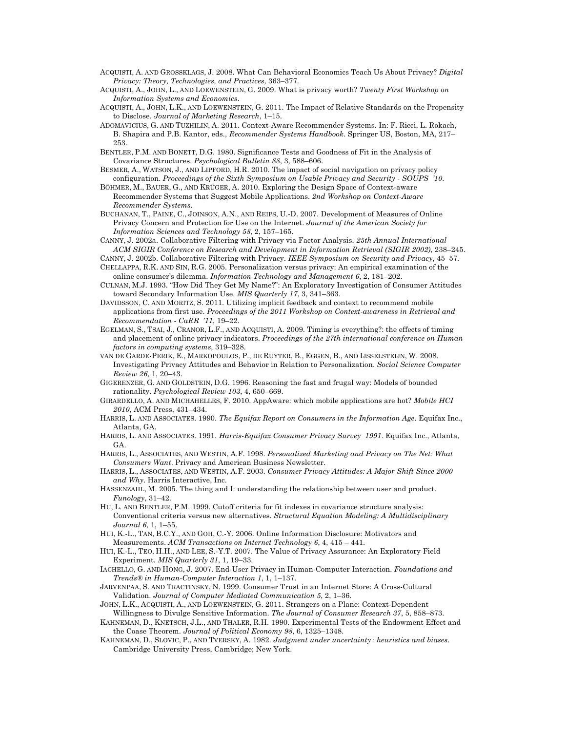- ACQUISTI, A. AND GROSSKLAGS, J. 2008. What Can Behavioral Economics Teach Us About Privacy? *Digital Privacy: Theory, Technologies, and Practices*, 363–377.
- ACQUISTI, A., JOHN, L., AND LOEWENSTEIN, G. 2009. What is privacy worth? *Twenty First Workshop on Information Systems and Economics*.
- ACQUISTI, A., JOHN, L.K., AND LOEWENSTEIN, G. 2011. The Impact of Relative Standards on the Propensity to Disclose. *Journal of Marketing Research*, 1–15.
- ADOMAVICIUS, G. AND TUZHILIN, A. 2011. Context-Aware Recommender Systems. In: F. Ricci, L. Rokach, B. Shapira and P.B. Kantor, eds., *Recommender Systems Handbook*. Springer US, Boston, MA, 217– 253.
- BENTLER, P.M. AND BONETT, D.G. 1980. Significance Tests and Goodness of Fit in the Analysis of Covariance Structures. *Psychological Bulletin 88*, 3, 588–606.
- BESMER, A., WATSON, J., AND LIPFORD, H.R. 2010. The impact of social navigation on privacy policy configuration. *Proceedings of the Sixth Symposium on Usable Privacy and Security - SOUPS '10*.
- BÖHMER, M., BAUER, G., AND KRÜGER, A. 2010. Exploring the Design Space of Context-aware Recommender Systems that Suggest Mobile Applications. *2nd Workshop on Context-Aware Recommender Systems*.
- BUCHANAN, T., PAINE, C., JOINSON, A.N., AND REIPS, U.-D. 2007. Development of Measures of Online Privacy Concern and Protection for Use on the Internet. *Journal of the American Society for Information Sciences and Technology 58*, 2, 157–165.
- CANNY, J. 2002a. Collaborative Filtering with Privacy via Factor Analysis. *25th Annual International ACM SIGIR Conference on Research and Development in Information Retrieval (SIGIR 2002)*, 238–245.
- CANNY, J. 2002b. Collaborative Filtering with Privacy. *IEEE Symposium on Security and Privacy*, 45–57.
- CHELLAPPA, R.K. AND SIN, R.G. 2005. Personalization versus privacy: An empirical examination of the online consumer's dilemma. *Information Technology and Management 6*, 2, 181–202.
- CULNAN, M.J. 1993. "How Did They Get My Name?": An Exploratory Investigation of Consumer Attitudes toward Secondary Information Use. *MIS Quarterly 17*, 3, 341–363.
- DAVIDSSON, C. AND MORITZ, S. 2011. Utilizing implicit feedback and context to recommend mobile applications from first use. *Proceedings of the 2011 Workshop on Context-awareness in Retrieval and Recommendation - CaRR '11*, 19–22.
- EGELMAN, S., TSAI, J., CRANOR, L.F., AND ACQUISTI, A. 2009. Timing is everything?: the effects of timing and placement of online privacy indicators. *Proceedings of the 27th international conference on Human factors in computing systems*, 319–328.
- VAN DE GARDE-PERIK, E., MARKOPOULOS, P., DE RUYTER, B., EGGEN, B., AND IJSSELSTEIJN, W. 2008. Investigating Privacy Attitudes and Behavior in Relation to Personalization. *Social Science Computer Review 26*, 1, 20–43.
- GIGERENZER, G. AND GOLDSTEIN, D.G. 1996. Reasoning the fast and frugal way: Models of bounded rationality. *Psychological Review 103*, 4, 650–669.
- GIRARDELLO, A. AND MICHAHELLES, F. 2010. AppAware: which mobile applications are hot? *Mobile HCI 2010*, ACM Press, 431–434.
- HARRIS, L. AND ASSOCIATES. 1990. *The Equifax Report on Consumers in the Information Age*. Equifax Inc., Atlanta, GA.
- HARRIS, L. AND ASSOCIATES. 1991. *Harris-Equifax Consumer Privacy Survey 1991*. Equifax Inc., Atlanta, GA.
- HARRIS, L., ASSOCIATES, AND WESTIN, A.F. 1998. *Personalized Marketing and Privacy on The Net: What Consumers Want*. Privacy and American Business Newsletter.
- HARRIS, L., ASSOCIATES, AND WESTIN, A.F. 2003. *Consumer Privacy Attitudes: A Major Shift Since 2000 and Why*. Harris Interactive, Inc.
- HASSENZAHL, M. 2005. The thing and I: understanding the relationship between user and product. *Funology*, 31–42.
- HU, L. AND BENTLER, P.M. 1999. Cutoff criteria for fit indexes in covariance structure analysis: Conventional criteria versus new alternatives. *Structural Equation Modeling: A Multidisciplinary Journal 6*, 1, 1–55.
- HUI, K.-L., TAN, B.C.Y., AND GOH, C.-Y. 2006. Online Information Disclosure: Motivators and Measurements. *ACM Transactions on Internet Technology 6*, 4, 415 – 441.
- HUI, K.-L., TEO, H.H., AND LEE, S.-Y.T. 2007. The Value of Privacy Assurance: An Exploratory Field Experiment. *MIS Quarterly 31*, 1, 19–33.
- IACHELLO, G. AND HONG, J. 2007. End-User Privacy in Human-Computer Interaction. *Foundations and Trends® in Human-Computer Interaction 1*, 1, 1–137.
- JARVENPAA, S. AND TRACTINSKY, N. 1999. Consumer Trust in an Internet Store: A Cross-Cultural Validation. *Journal of Computer Mediated Communication 5*, 2, 1–36.
- JOHN, L.K., ACQUISTI, A., AND LOEWENSTEIN, G. 2011. Strangers on a Plane: Context-Dependent Willingness to Divulge Sensitive Information. *The Journal of Consumer Research 37*, 5, 858–873.
- KAHNEMAN, D., KNETSCH, J.L., AND THALER, R.H. 1990. Experimental Tests of the Endowment Effect and the Coase Theorem. *Journal of Political Economy 98*, 6, 1325–1348.
- KAHNEMAN, D., SLOVIC, P., AND TVERSKY, A. 1982. *Judgment under uncertainty : heuristics and biases*. Cambridge University Press, Cambridge; New York.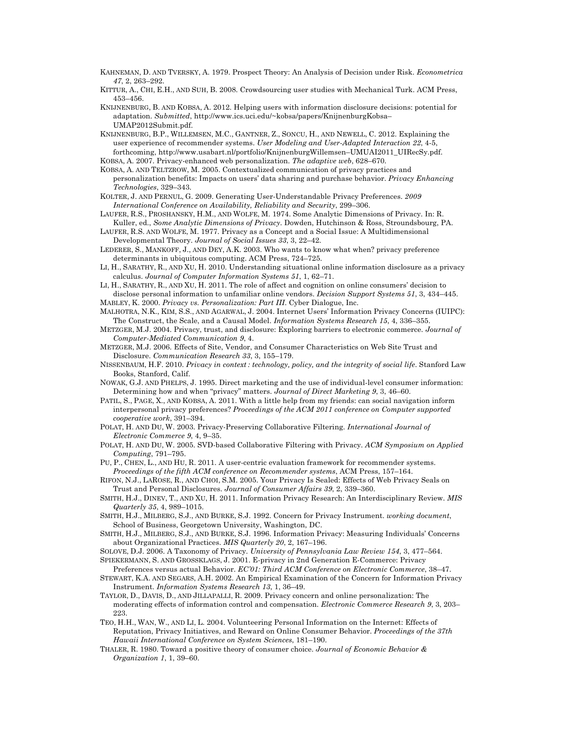- KAHNEMAN, D. AND TVERSKY, A. 1979. Prospect Theory: An Analysis of Decision under Risk. *Econometrica 47*, 2, 263–292.
- KITTUR, A., CHI, E.H., AND SUH, B. 2008. Crowdsourcing user studies with Mechanical Turk. ACM Press, 453–456.
- KNIJNENBURG, B. AND KOBSA, A. 2012. Helping users with information disclosure decisions: potential for adaptation. *Submitted*, http://www.ics.uci.edu/~kobsa/papers/KnijnenburgKobsa– UMAP2012Submit.pdf.

KNIJNENBURG, B.P., WILLEMSEN, M.C., GANTNER, Z., SONCU, H., AND NEWELL, C. 2012. Explaining the user experience of recommender systems. *User Modeling and User-Adapted Interaction 22*, 4-5, forthcoming, http://www.usabart.nl/portfolio/KnijnenburgWillemsen–UMUAI2011\_UIRecSy.pdf.

KOBSA, A. 2007. Privacy-enhanced web personalization. *The adaptive web*, 628–670.

- KOBSA, A. AND TELTZROW, M. 2005. Contextualized communication of privacy practices and personalization benefits: Impacts on users' data sharing and purchase behavior. *Privacy Enhancing Technologies*, 329–343.
- KOLTER, J. AND PERNUL, G. 2009. Generating User-Understandable Privacy Preferences. *2009 International Conference on Availability, Reliability and Security*, 299–306.
- LAUFER, R.S., PROSHANSKY, H.M., AND WOLFE, M. 1974. Some Analytic Dimensions of Privacy. In: R. Kuller, ed., *Some Analytic Dimensions of Privacy*. Dowden, Hutchinson & Ross, Stroundsbourg, PA.
- LAUFER, R.S. AND WOLFE, M. 1977. Privacy as a Concept and a Social Issue: A Multidimensional Developmental Theory. *Journal of Social Issues 33*, 3, 22–42.
- LEDERER, S., MANKOFF, J., AND DEY, A.K. 2003. Who wants to know what when? privacy preference determinants in ubiquitous computing. ACM Press, 724–725.
- LI, H., SARATHY, R., AND XU, H. 2010. Understanding situational online information disclosure as a privacy calculus. *Journal of Computer Information Systems 51*, 1, 62–71.
- LI, H., SARATHY, R., AND XU, H. 2011. The role of affect and cognition on online consumers' decision to disclose personal information to unfamiliar online vendors. *Decision Support Systems 51*, 3, 434–445.
- MABLEY, K. 2000. *Privacy vs. Personalization: Part III*. Cyber Dialogue, Inc.

MALHOTRA, N.K., KIM, S.S., AND AGARWAL, J. 2004. Internet Users' Information Privacy Concerns (IUIPC): The Construct, the Scale, and a Causal Model. *Information Systems Research 15*, 4, 336–355.

- METZGER, M.J. 2004. Privacy, trust, and disclosure: Exploring barriers to electronic commerce. *Journal of Computer-Mediated Communication 9*, 4.
- METZGER, M.J. 2006. Effects of Site, Vendor, and Consumer Characteristics on Web Site Trust and Disclosure. *Communication Research 33*, 3, 155–179.
- NISSENBAUM, H.F. 2010. *Privacy in context : technology, policy, and the integrity of social life*. Stanford Law Books, Stanford, Calif.
- NOWAK, G.J. AND PHELPS, J. 1995. Direct marketing and the use of individual-level consumer information: Determining how and when "privacy" matters. *Journal of Direct Marketing 9*, 3, 46–60.
- PATIL, S., PAGE, X., AND KOBSA, A. 2011. With a little help from my friends: can social navigation inform interpersonal privacy preferences? *Proceedings of the ACM 2011 conference on Computer supported cooperative work*, 391–394.
- POLAT, H. AND DU, W. 2003. Privacy-Preserving Collaborative Filtering. *International Journal of Electronic Commerce 9*, 4, 9–35.
- POLAT, H. AND DU, W. 2005. SVD-based Collaborative Filtering with Privacy. *ACM Symposium on Applied Computing*, 791–795.
- PU, P., CHEN, L., AND HU, R. 2011. A user-centric evaluation framework for recommender systems. *Proceedings of the fifth ACM conference on Recommender systems*, ACM Press, 157–164.
- RIFON, N.J., LAROSE, R., AND CHOI, S.M. 2005. Your Privacy Is Sealed: Effects of Web Privacy Seals on Trust and Personal Disclosures. *Journal of Consumer Affairs 39*, 2, 339–360.

SMITH, H.J., DINEV, T., AND XU, H. 2011. Information Privacy Research: An Interdisciplinary Review. *MIS Quarterly 35*, 4, 989–1015.

SMITH, H.J., MILBERG, S.J., AND BURKE, S.J. 1992. Concern for Privacy Instrument. *working document*, School of Business, Georgetown University, Washington, DC.

SMITH, H.J., MILBERG, S.J., AND BURKE, S.J. 1996. Information Privacy: Measuring Individuals' Concerns about Organizational Practices. *MIS Quarterly 20*, 2, 167–196.

SOLOVE, D.J. 2006. A Taxonomy of Privacy. *University of Pennsylvania Law Review 154*, 3, 477–564.

- SPIEKERMANN, S. AND GROSSKLAGS, J. 2001. E-privacy in 2nd Generation E-Commerce: Privacy
- Preferences versus actual Behavior. *EC'01: Third ACM Conference on Electronic Commerce*, 38–47. STEWART, K.A. AND SEGARS, A.H. 2002. An Empirical Examination of the Concern for Information Privacy Instrument. *Information Systems Research 13*, 1, 36–49.
- TAYLOR, D., DAVIS, D., AND JILLAPALLI, R. 2009. Privacy concern and online personalization: The moderating effects of information control and compensation. *Electronic Commerce Research 9*, 3, 203– 223.
- TEO, H.H., WAN, W., AND LI, L. 2004. Volunteering Personal Information on the Internet: Effects of Reputation, Privacy Initiatives, and Reward on Online Consumer Behavior. *Proceedings of the 37th Hawaii International Conference on System Sciences*, 181–190.
- THALER, R. 1980. Toward a positive theory of consumer choice. *Journal of Economic Behavior & Organization 1*, 1, 39–60.